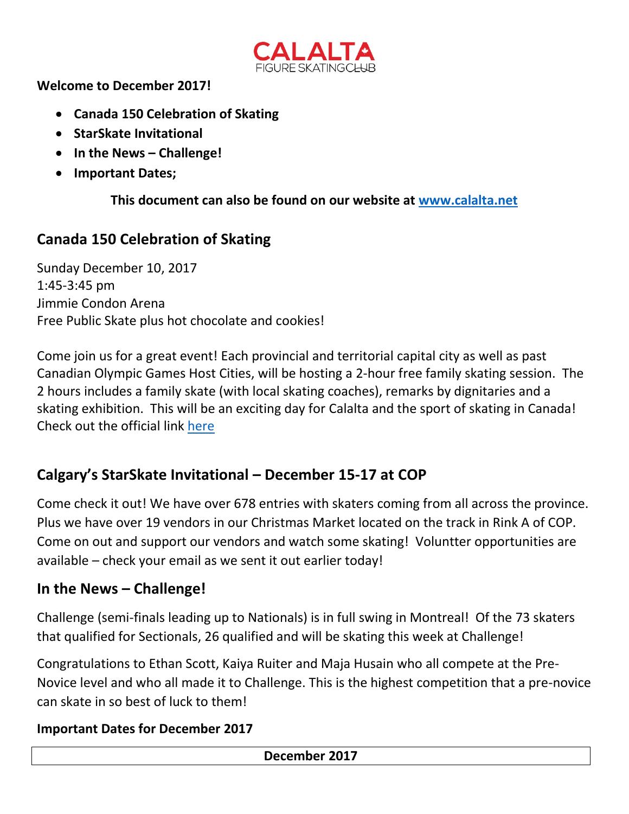

**Welcome to December 2017!**

- **Canada 150 Celebration of Skating**
- **StarSkate Invitational**
- **In the News – Challenge!**
- **Important Dates;**

**This document can also be found on our website at [www.calalta.net](http://www.calalta.net/)**

## **Canada 150 Celebration of Skating**

Sunday December 10, 2017 1:45-3:45 pm Jimmie Condon Arena Free Public Skate plus hot chocolate and cookies!

Come join us for a great event! Each provincial and territorial capital city as well as past Canadian Olympic Games Host Cities, will be hosting a 2-hour free family skating session. The 2 hours includes a family skate (with local skating coaches), remarks by dignitaries and a skating exhibition. This will be an exciting day for Calalta and the sport of skating in Canada! Check out the official link [here](https://skatecanada.ca/canada-150-skating-day-2017/)

## **Calgary's StarSkate Invitational – December 15-17 at COP**

Come check it out! We have over 678 entries with skaters coming from all across the province. Plus we have over 19 vendors in our Christmas Market located on the track in Rink A of COP. Come on out and support our vendors and watch some skating! Voluntter opportunities are available – check your email as we sent it out earlier today!

## **In the News – Challenge!**

Challenge (semi-finals leading up to Nationals) is in full swing in Montreal! Of the 73 skaters that qualified for Sectionals, 26 qualified and will be skating this week at Challenge!

Congratulations to Ethan Scott, Kaiya Ruiter and Maja Husain who all compete at the Pre-Novice level and who all made it to Challenge. This is the highest competition that a pre-novice can skate in so best of luck to them!

## **Important Dates for December 2017**

**December 2017**